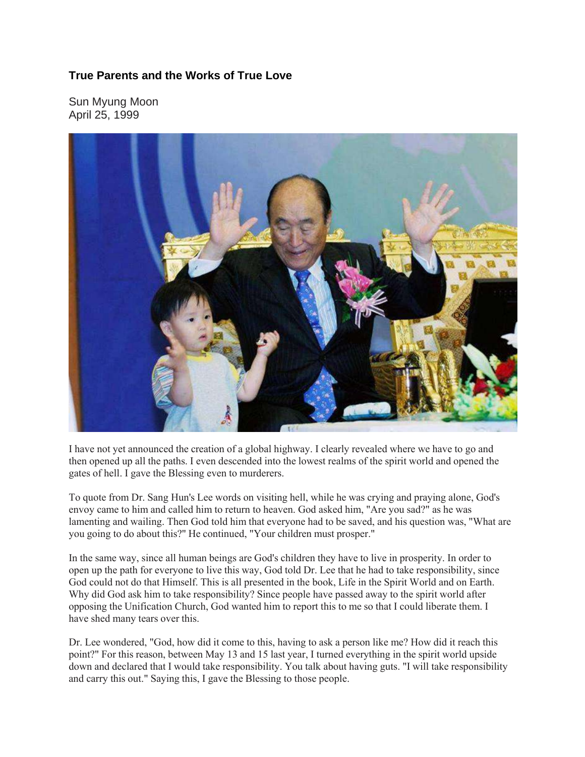## **True Parents and the Works of True Love**

Sun Myung Moon April 25, 1999



I have not yet announced the creation of a global highway. I clearly revealed where we have to go and then opened up all the paths. I even descended into the lowest realms of the spirit world and opened the gates of hell. I gave the Blessing even to murderers.

To quote from Dr. Sang Hun's Lee words on visiting hell, while he was crying and praying alone, God's envoy came to him and called him to return to heaven. God asked him, "Are you sad?" as he was lamenting and wailing. Then God told him that everyone had to be saved, and his question was, "What are you going to do about this?" He continued, "Your children must prosper."

In the same way, since all human beings are God's children they have to live in prosperity. In order to open up the path for everyone to live this way, God told Dr. Lee that he had to take responsibility, since God could not do that Himself. This is all presented in the book, Life in the Spirit World and on Earth. Why did God ask him to take responsibility? Since people have passed away to the spirit world after opposing the Unification Church, God wanted him to report this to me so that I could liberate them. I have shed many tears over this.

Dr. Lee wondered, "God, how did it come to this, having to ask a person like me? How did it reach this point?" For this reason, between May 13 and 15 last year, I turned everything in the spirit world upside down and declared that I would take responsibility. You talk about having guts. "I will take responsibility and carry this out." Saying this, I gave the Blessing to those people.